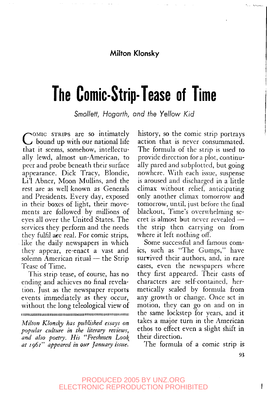#### **Milton Klonsky**

# **The Comic-Strip-Tease of Time**

Smollett, Hogarth, and the Yellow Kid

COMIC STRIPS are so intimately<br>C bound up with our national life OMIC STRIPS are so intimately that it seems, somehow, intellectually lewd, almost un-American, to peer and probe beneath their surface appearance. Dick Tracy, Blondie, Li'l Abner, Moon Mullins, and the rest are as well known as Generals and Presidents. Every day, exposed in their boxes of light, their movements are followed by millions of eyes all over the United States. The services they perform and the needs they fulfil are real. For comic strips, like the daily newspapers in which they appear, re-enact a vast and solemn American ritual — the Strip Tease of Time.

This strip tease, of course, has no ending and achieves no final revelation. Just as the newspaper reports events immediately as they occur, without the long teleological view of **llllllllllllllllllllUlllllllllllllllllllllllllllllMlUllllllllllllllllllltltltlllllllllltlMIIIII**

*Milton Klonsky has published essays on popular culture in the literary reviews,* and also poetry. His "Freshmen Look *at 1961" appeared in our January issue.*

history, so the comic strip portrays action that is never consummated. The formula of the strip is used to provide direction for a plot, continually pared and subplotted, but going nowhere. With each issue, suspense is aroused and discharged in a little climax without relief, anticipating only another climax tomorrow and tomorrow, until, just before the final blackout, Time's overwhelming secret is almost but never revealed the strip then carrying on from where it left nothing off.

Some successful and famous comics, such as "The Gumps," have survived their authors, and, in rare cases, even the newspapers where they first appeared. Their casts of characters are self-contained, hermetically sealed by formula from any growth or change. Once set in motion, they can go on and on in the same lockstep for years, and it takes a major turn in the American ethos to effect even a slight shift in their direction.

The formula of a comic strip is

**93**

#### PRODUCED 2005 BY UNZ.ORG ELECTRONIC REPRODUCTION PROHIBITED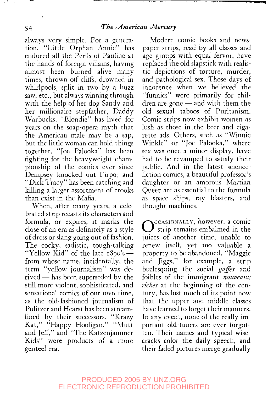always very simple. For a generation, "Little Orphan Annie" has endured all the Perils of Pauline at the hands of foreign villains, having almost been burned alive many times, thrown off cliffs, drowned in whirlpools, split in two by a buzz saw, etc., but always winning through with the help of her dog Sandy and her millionaire stepfather, Daddy Warbucks. "Blondie" has lived for years on the soap-opera myth that the American male may be a sap, but the little woman can hold things together. "Joe Palooka" has been fighting for the heavyweight championship of the comics ever since Dempsey knocked out Firpo; and "Dick Tracy" has been catching and killing a larger assortment of crooks than exist in the Mafia.

When, after many years, a celebrated strip recasts its characters and formula, or expires, it marks the close of an era as definitely as a style of dress or slang going out of fashion. The cocky, sadistic, tough-talking "Yellow Kid" of the late 1890's from whose name, incidentally, the term "yellow journalism" was derived — has been superseded by the still more violent, sophisticated, and sensational comics of our own time, as the old-fashioned journalism of Pulitzer and Hearst has been streamlined by their successors. "Krazy Kat," "Happy Hooligan," "Mutt and Jeff," and "The Katzenjammer Kids" were products of a more genteel era.

Modern comic books and newspaper strips, read by all classes and age groups with equal fervor, have replaced the old slapstick with realistic depictions of torture, murder, and pathological sex. Those days of innocence when we believed the "funnies" were primarily for children are gone — and with them the old sexual taboos of Puritanism. Comic strips now exhibit women as lush as those in.the beer and cigarette ads. Others, such as "Winnie Winkle" or "Joe Palooka," where sex was once a minor display, have had to be revamped to satisfy their public. And in the latest sciencefiction comics, a beautiful professor's daughter or an amorous Martian Queen are as essential to the formula as space ships, ray blasters, and thought machines.

O<sup>CCASIONALLY, however, a comic<br>
Strip remains embalmed in the</sup> strip remains embalmed in the juices of another time, unable to renew itself, yet too valuable a property to be abandoned. "Maggie and Jiggs," for example, a strip burlesquing the social *gaffes* and foibles of the immigrant *nouveaux riches* at the beginning of the century, has lost much of its point now that the upper and middle classes have learned to forget their manners. In any event, none of the really important old-timers are ever forgotten. Their names and typical wisecracks color the daily speech, and their faded pictures merge gradually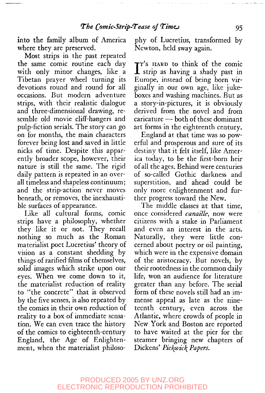into the family album of America where they are preserved.

Most strips in the past repeated the same comic routine each day with only minor changes, like a Tibetan prayer wheel turning its devotions round and round for all occasions. But modern adventure strips, with their realistic dialogue and three-dimensional drawing, resemble old movie cliff-hangers and pulp-fiction serials. The story can go on for months, the main characters forever being lost and saved in little nicks of time. Despite this apparently broader scope, however, their nature is still the same. The rigid daily pattern is repeated in an overall timeless and shapeless continuum; and the strip-action never moves beneath, or removes, the inexhaustible surfaces of appearance.

Like all cultural forms, comic strips have a philosophy, whether they like it or not. They recall nothing so much as the Roman materialist poet Lucretius' theory of vision as a constant shedding by things of rarified films of themselves, solid images which strike upon our eyes. When we come down to it, the materialist reduction of reality to "the concrete" that is observed by the five senses, is also repeated by the comics in their own reduction of reality to a box of immediate sensation. We can even trace the history of the comics to eighteenth-century England, the Age of Enlightenment, when the materialist philosophy of Lucretius, transformed by Newton, held sway again.

IT's HARD to think of the comic<br>strip as having a shady past in strip as having a shady past in Europe, instead of being born virginally in our own age, like jukeboxes and washing machines. But as a story-in-pictures, it is obviously derived from the novel and from caricature — both of these dominant art forms in the eighteenth century.

England at that time was so powerful and prosperous and sure of its destiny that it felt itself, like America today, to be the first-born heir of all the ages. Behind were centuries of so-called Gothic darkness and superstition, and ahead could be only more enlightenment and further progress toward the New.

The middle classes at that time, once considered *canaille,* now were citizens with a stake in Parliament and even an interest in the arts. Naturally, they were little concerned about poetry or oil painting, which were in the expensive domain of the aristocracy. But novels, by their rootedness in the common daily life, won an audience for literature greater than any before. The serial form of these novels still had an immense appeal as late as the nineteenth century, even across the Atlantic, where crowds of people in New York and Boston are reported to have waited at the pier for the steamer bringing new chapters of Dickens' *Pic\ivic\ Papers.*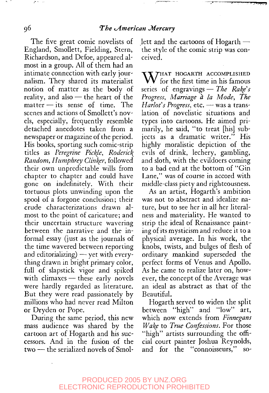#### **<sup>9</sup>6** *The (American ^Mercury*

The five great comic novelists of England, Smollett, Fielding, Stern, Richardson, and Defoe, appeared almost in a group. All of them had an intimate connection with early journalism. They shared its materialist notion of matter as the body of reality, and also — the heart of the matter — its sense of time. The scenes and actions of Smollett's novels, especially, frequently resemble detached anecdotes taken from a newspaper or magazine of the period. His books, sporting such comic-strip titles as *Peregrine Pickle, Roderick^ Random, Humphrey Clinker,* followed their own unpredictable wills from chapter to chapter and could have gone on indefinitely. With their tortuous plots unwinding upon the spool of a forgone conclusion; their crude characterizations drawn almost to the point of caricature; and their uncertain structure wavering between the narrative and the informal essay (just as the journals of the time wavered between reporting and editorializing) — yet with everything drawn in bright primary color, full of slapstick vigor and spiked with climaxes — these early novels were hardly regarded as literature. But they were read passionately by millions who had never read Milton or Dryden or Pope.

During the same period, this new mass audience was shared by the cartoon art of Hogarth and his successors. And in the fusion of the two — the serialized novels of Smollett and the cartoons of Hogarth the style of the comic strip was conceived.

WHAT HOGARTH ACCOMPLISHED series of engravings — *The Rake's Progress, Marriage a la Mode, The Harlot's Progress,* etc. — was a translation of novelistic situations and types into cartoons. He aimed primarily, he said, "to treat [his] subjects as a dramatic writer." His highly moralistic depiction of the evils of drink, lechery, gambling, and sloth, with the evildoers coming to a bad end at the bottom of "Gin Lane," was of course in accord with middle-class piety and righteousness.

As an artist, Hogarth's ambition was not to abstract and idealize nature, but to see her in all her literalness and materiality. He wanted to strip the ideal of Renaissance painting of its mysticism and reduce it to a physical average. In his work, the knobs, twists, and bulges of flesh of ordinary mankind superseded the perfect forms of Venus and Apollo. As he came to realize later on, however, the concept of the Average was an ideal as abstract as that of the Beautiful.

Hogarth served to widen the split between "high" and "low" art, which now extends from *Finnegans Wake* to *True Confessions.* For those "high" artists surrounding the official court painter Joshua Reynolds, and for the "connoisseurs," so-

 $\sim$   $\sim$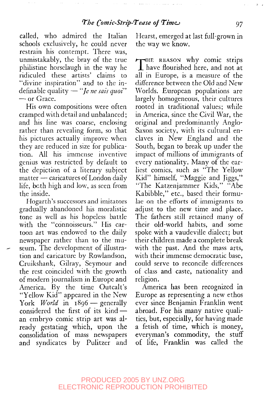called, who admired the Italian schools exclusively, he could never restrain his contempt. There was, unmistakably, the bray of the true philistine horselaugh in the way he ridiculed these artists' claims to "divine inspiration" and to the indefinable quality — *"Je ne sais quoi"* — or Grace.

His own compositions were often cramped with detail and unbalanced; and his line was coarse, enclosing rather than revealing form, so that his pictures actually improve when they are reduced in size for publication. All his immense inventive genius was restricted by default to the depiction of a literary subject matter — caricatures of London daily life, both high and low, as seen from the inside.

Hogarth's successors and imitators gradually abandoned his moralistic tone as well as his hopeless battle with the "connoisseurs." His cartoon art was endowed to the daily newspaper rather than to the museum. The development of illustration and caricature by Rowlandson, Cruikshank, Gilray, Seymour and the rest coincided with the growth of modern journalism in Europe and America. By the time Outcalt's "Yellow Kid" appeared in the New York *World* in 1896 — generally considered the first of its kind an embryo comic strip art was already gestating which, upon the consolidation of mass newspapers and syndicates by Pulitzer and Hearst, emerged at last full-grown in the way we know.

A-pHE REASON why comic strips *X.* have flourished here, and not at all in Europe, is a measure of the difference between the Old and New Worlds. European populations are largely homogeneous, their cultures rooted in traditional values; while in America, since the Civil War, the original and predominantly Anglo-Saxon society, with its cultural enclaves in New England and the South, began to break up under the impact of millions of immigrants of every nationality. Many of the earliest comics, such as "The Yellow Kid" himself, "Maggie and Jiggs," "The Katzenjammer Kids," "Abe Kabibble," etc., based their formulae on the efforts of immigrants to adjust to the new time and place. The fathers still retained many of their old-world habits, and some spoke with a vaudeville dialect; but their children made a complete break with the past. And the mass arts, with their immense democratic base, could serve to reconcile differences of class and caste, nationality and religion.

America has been recognized in Europe as representing a new ethos ever since Benjamin Franklin went abroad. For his many native qualities, but, especially, for having made a fetish of time, which is money, everyman's commodity, the stuff of life, Franklin was called the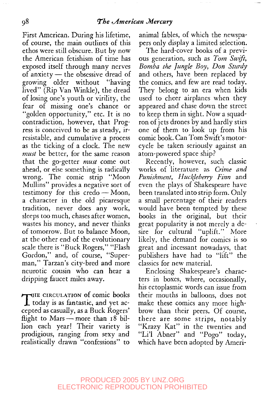First American. During his lifetime, of course, the main outlines of this ethos were still obscure. But by now the American fetishism of time has exposed itself through many nerves of anxiety — the obsessive dread of growing older without "having lived" (Rip Van Winkle), the dread of losing one's youth or virility, the fear of missing one's chance or "golden opportunity," etc. It is no contradiction, however, that Progress is conceived to be as steady, irresistable, and cumulative a process as the ticking of a clock. The new *must* be better, for the same reason that the go-getter *must* come out ahead, or else something is radically wrong. The comic strip "Moon Mullins" provides a negative sort of testimony for this credo — Moon, a character in the old picaresque tradition, never does any work, sleeps too much, chases after women, wastes his money, and never thinks of tomorrow. But to balance Moon, at the other end of the evolutionary scale there is "Buck Rogers," "Flash Gordon," and, of course, "Superman," Tarzan's city-bred and more neurotic cousin who can hear a dripping faucet miles away.

THE CIRCULATION of comic books<br>today is as fantastic, and yet ac- $\blacktriangleright$ THE CIRCULATION of comic books cepted as casually, as a Buck Rogers' flight to Mars — more than  $18$  billion each year! Their variety is prodigious, ranging from sexy and realistically drawn "confessions" to

animal fables, of which the newspapers only display a limited selection.

The hard-cover books of a previous generation, such as *Tom Swift, Bomba the Jungle Boy, Don Sturdy* and others, have been replaced by the comics, and few are read today. They belong to an era when kids used to cheer airplanes when they appeared and chase down the street to keep them in sight. Now a squadron of jets drones by and hardly stirs one of them to look up from his comic book. Can Tom Swift's motorcycle be taken seriously against an atom-powered space ship?

Recently, however, such classic works of literature as *Crime and Punishment, Huckleberry Finn* and even the plays of Shakespeare have been translated into strip form. Only a small percentage of their readers would have been tempted by these books in the original, but their great popularity is not merely a desire for cultural "uplift." More likely, the demand for comics is so great and incessant nowadays, that publishers have had to "lift" the classics for new material.

Enclosing Shakespeare's characters in boxes, where, occasionally, his ectoplasmic words can issue from their mouths in balloons, does not make these comics any more highbrow than their peers. Of course, there are some strips, notably "Krazy Kat" in the twenties and "Li'l Abner" and "Pogo" today, which have been adopted by Ameri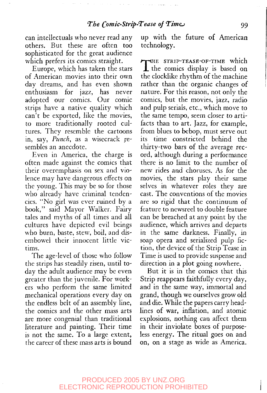can intellectuals who never read any others. But these are often too sophisticated for the great audience which prefers its comics straight.

Europe, which has taken the stars of American movies into their own day dreams, and has even shown enthusiasm for jazz, has never adopted our comics. Our comic strips have a native quality which can't be exported, like the movies, to more traditionally rooted cultures. They resemble the cartoons in, say, *Punch,* as a wisecrack resembles an anecdote.

Even in America, the charge is often made against the comics that their overemphasis on sex and violence may have dangerous effects on the young. This may be so for those who already have criminal tendencies. "No girl was ever ruined by a book," said Mayor Walker. Fairy tales and myths of all times and all cultures have depicted evil beings who burn, baste, stew, boil, and disembowel their innocent little victims.

The age-level of those who follow the strips has steadily risen, until today the adult audience may be even greater than the juvenile. For workers who perform the same limited mechanical operations every day on the endless belt of an assembly line, the comics and the other mass arts are more congenial than traditional literature and painting. Their time is not the same. To a large extent, the career of these mass arts is bound

up with the future of American technology.

THE STRIP-TEASE-OF-TIME which<br>the comics display is based on  $\perp$  the comics display is based on the clocklike rhythm of the machine rather than the organic changes of nature. For this reason, not only the comics, but the movies, jazz, radio and pulp serials, etc., which move to the same tempo, seem closer to artifacts than to art. Jazz, for example, from blues to bebop, must serve out its time constricted behind the thirty-two bars of the average record, although during a performance there is no limit to the number of new rides and choruses. As for the movies, the stars play their same selves in whatever roles they are cast. The conventions of the movies are so rigid that the continuum of feature to newsreel to double feature can be breached at any point by the audience, which arrives and departs in the same darkness. Finally, in soap opera and serialized pulp fiction, the device of the Strip Tease in Time is used to provide suspense and direction in a plot going nowhere.

But it is in the comics that this Strip reappears faithfully every day, and in the same way, immortal and grand, though we ourselves grow old and die. While the papers carry headlines of war, inflation, and atomic explosions, nothing can affect them in their inviolate boxes of purposeless energy. The ritual goes on and on, on a stage as wide as America.